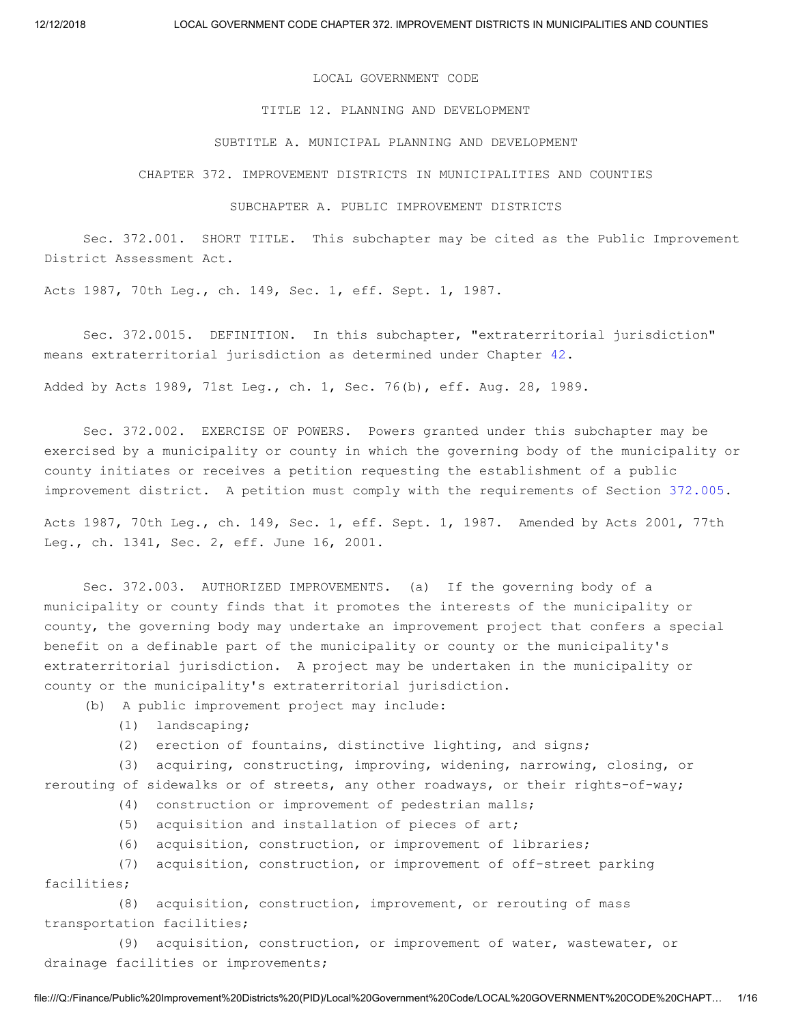LOCAL GOVERNMENT CODE

## TITLE 12. PLANNING AND DEVELOPMENT

# SUBTITLE A. MUNICIPAL PLANNING AND DEVELOPMENT

CHAPTER 372. IMPROVEMENT DISTRICTS IN MUNICIPALITIES AND COUNTIES

# SUBCHAPTER A. PUBLIC IMPROVEMENT DISTRICTS

Sec. 372.001. SHORT TITLE. This subchapter may be cited as the Public Improvement District Assessment Act.

Acts 1987, 70th Leg., ch. 149, Sec. 1, eff. Sept. 1, 1987.

Sec. 372.0015. DEFINITION. In this subchapter, "extraterritorial jurisdiction" means extraterritorial jurisdiction as determined under Chapter [42.](http://www.statutes.legis.state.tx.us/GetStatute.aspx?Code=LG&Value=42)

Added by Acts 1989, 71st Leg., ch. 1, Sec. 76(b), eff. Aug. 28, 1989.

Sec. 372.002. EXERCISE OF POWERS. Powers granted under this subchapter may be exercised by a municipality or county in which the governing body of the municipality or county initiates or receives a petition requesting the establishment of a public improvement district. A petition must comply with the requirements of Section [372.005.](http://www.statutes.legis.state.tx.us/GetStatute.aspx?Code=LG&Value=372.005)

Acts 1987, 70th Leg., ch. 149, Sec. 1, eff. Sept. 1, 1987. Amended by Acts 2001, 77th Leg., ch. 1341, Sec. 2, eff. June 16, 2001.

Sec. 372.003. AUTHORIZED IMPROVEMENTS. (a) If the governing body of a municipality or county finds that it promotes the interests of the municipality or county, the governing body may undertake an improvement project that confers a special benefit on a definable part of the municipality or county or the municipality's extraterritorial jurisdiction. A project may be undertaken in the municipality or county or the municipality's extraterritorial jurisdiction.

(b) A public improvement project may include:

(1) landscaping;

(2) erection of fountains, distinctive lighting, and signs;

(3) acquiring, constructing, improving, widening, narrowing, closing, or rerouting of sidewalks or of streets, any other roadways, or their rights-of-way; (4) construction or improvement of pedestrian malls;

- (5) acquisition and installation of pieces of art;
- (6) acquisition, construction, or improvement of libraries;

(7) acquisition, construction, or improvement of off-street parking facilities;

(8) acquisition, construction, improvement, or rerouting of mass transportation facilities;

(9) acquisition, construction, or improvement of water, wastewater, or drainage facilities or improvements;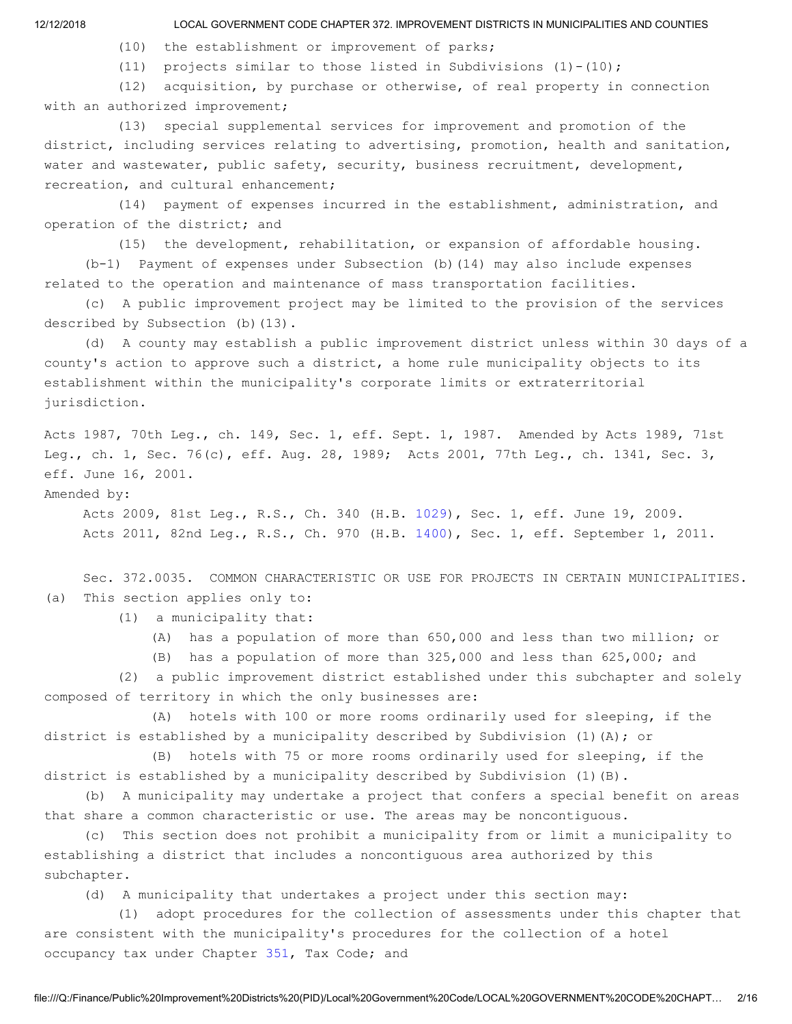(10) the establishment or improvement of parks;

(11) projects similar to those listed in Subdivisions  $(1)-(10)$ ;

(12) acquisition, by purchase or otherwise, of real property in connection with an authorized improvement;

(13) special supplemental services for improvement and promotion of the district, including services relating to advertising, promotion, health and sanitation, water and wastewater, public safety, security, business recruitment, development, recreation, and cultural enhancement;

(14) payment of expenses incurred in the establishment, administration, and operation of the district; and

(15) the development, rehabilitation, or expansion of affordable housing.

(b-1) Payment of expenses under Subsection (b)(14) may also include expenses related to the operation and maintenance of mass transportation facilities.

(c) A public improvement project may be limited to the provision of the services described by Subsection (b)(13).

(d) A county may establish a public improvement district unless within 30 days of a county's action to approve such a district, a home rule municipality objects to its establishment within the municipality's corporate limits or extraterritorial jurisdiction.

Acts 1987, 70th Leg., ch. 149, Sec. 1, eff. Sept. 1, 1987. Amended by Acts 1989, 71st Leg., ch. 1, Sec. 76(c), eff. Aug. 28, 1989; Acts 2001, 77th Leg., ch. 1341, Sec. 3, eff. June 16, 2001.

Amended by:

Acts 2009, 81st Leg., R.S., Ch. 340 (H.B. [1029](http://www.legis.state.tx.us/tlodocs/81R/billtext/html/HB01029F.HTM)), Sec. 1, eff. June 19, 2009. Acts 2011, 82nd Leg., R.S., Ch. 970 (H.B. [1400](http://www.legis.state.tx.us/tlodocs/82R/billtext/html/HB01400F.HTM)), Sec. 1, eff. September 1, 2011.

Sec. 372.0035. COMMON CHARACTERISTIC OR USE FOR PROJECTS IN CERTAIN MUNICIPALITIES. (a) This section applies only to:

(1) a municipality that:

(A) has a population of more than 650,000 and less than two million; or

(B) has a population of more than 325,000 and less than 625,000; and

(2) a public improvement district established under this subchapter and solely composed of territory in which the only businesses are:

(A) hotels with 100 or more rooms ordinarily used for sleeping, if the district is established by a municipality described by Subdivision (1)(A); or

(B) hotels with 75 or more rooms ordinarily used for sleeping, if the district is established by a municipality described by Subdivision (1)(B).

(b) A municipality may undertake a project that confers a special benefit on areas that share a common characteristic or use. The areas may be noncontiguous.

(c) This section does not prohibit a municipality from or limit a municipality to establishing a district that includes a noncontiguous area authorized by this subchapter.

(d) A municipality that undertakes a project under this section may:

(1) adopt procedures for the collection of assessments under this chapter that are consistent with the municipality's procedures for the collection of a hotel occupancy tax under Chapter [351,](http://www.statutes.legis.state.tx.us/GetStatute.aspx?Code=TX&Value=351) Tax Code; and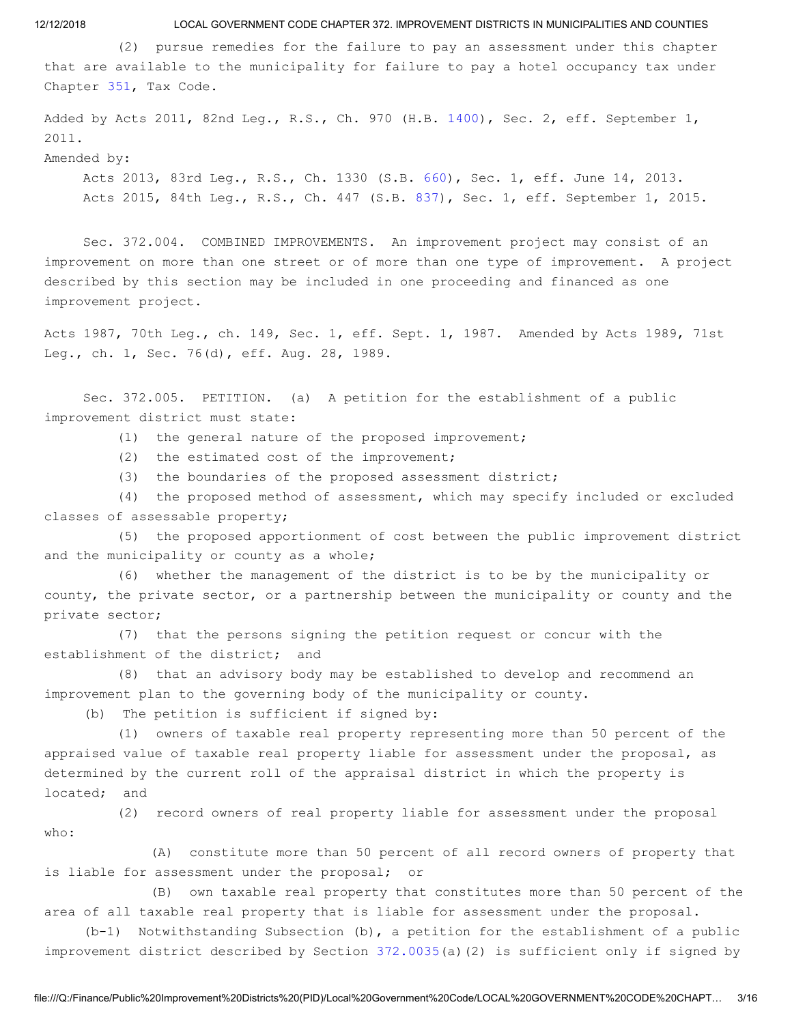(2) pursue remedies for the failure to pay an assessment under this chapter that are available to the municipality for failure to pay a hotel occupancy tax under Chapter [351,](http://www.statutes.legis.state.tx.us/GetStatute.aspx?Code=TX&Value=351) Tax Code.

Added by Acts 2011, 82nd Leg., R.S., Ch. 970 (H.B. [1400](http://www.legis.state.tx.us/tlodocs/82R/billtext/html/HB01400F.HTM)), Sec. 2, eff. September 1, 2011.

Amended by:

Acts 2013, 83rd Leg., R.S., Ch. 1330 (S.B. [660](http://www.legis.state.tx.us/tlodocs/83R/billtext/html/SB00660F.HTM)), Sec. 1, eff. June 14, 2013. Acts 2015, 84th Leg., R.S., Ch. 447 (S.B. [837\)](http://www.legis.state.tx.us/tlodocs/84R/billtext/html/SB00837F.HTM), Sec. 1, eff. September 1, 2015.

Sec. 372.004. COMBINED IMPROVEMENTS. An improvement project may consist of an improvement on more than one street or of more than one type of improvement. A project described by this section may be included in one proceeding and financed as one improvement project.

Acts 1987, 70th Leg., ch. 149, Sec. 1, eff. Sept. 1, 1987. Amended by Acts 1989, 71st Leg., ch. 1, Sec. 76(d), eff. Aug. 28, 1989.

Sec. 372.005. PETITION. (a) A petition for the establishment of a public improvement district must state:

- (1) the general nature of the proposed improvement;
- (2) the estimated cost of the improvement;
- (3) the boundaries of the proposed assessment district;

(4) the proposed method of assessment, which may specify included or excluded classes of assessable property;

(5) the proposed apportionment of cost between the public improvement district and the municipality or county as a whole;

(6) whether the management of the district is to be by the municipality or county, the private sector, or a partnership between the municipality or county and the private sector;

(7) that the persons signing the petition request or concur with the establishment of the district; and

(8) that an advisory body may be established to develop and recommend an improvement plan to the governing body of the municipality or county.

(b) The petition is sufficient if signed by:

(1) owners of taxable real property representing more than 50 percent of the appraised value of taxable real property liable for assessment under the proposal, as determined by the current roll of the appraisal district in which the property is located; and

(2) record owners of real property liable for assessment under the proposal who:

(A) constitute more than 50 percent of all record owners of property that is liable for assessment under the proposal; or

(B) own taxable real property that constitutes more than 50 percent of the area of all taxable real property that is liable for assessment under the proposal.

(b-1) Notwithstanding Subsection (b), a petition for the establishment of a public improvement district described by Section [372.0035](http://www.statutes.legis.state.tx.us/GetStatute.aspx?Code=LG&Value=372.0035)(a)(2) is sufficient only if signed by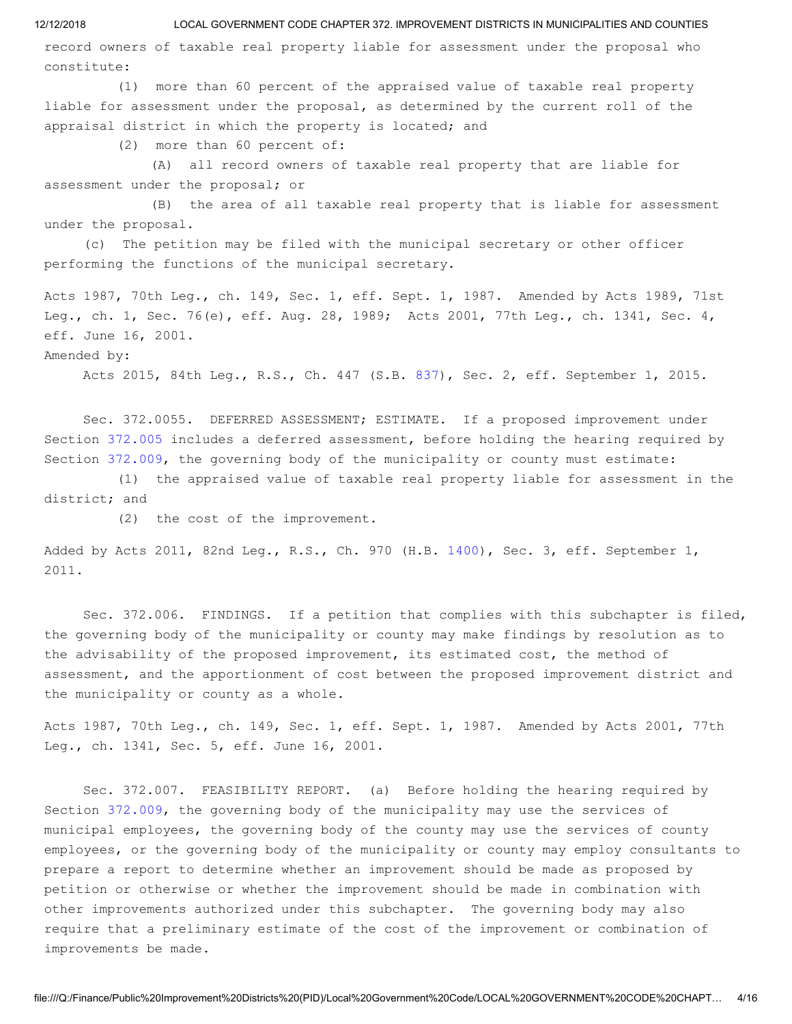record owners of taxable real property liable for assessment under the proposal who constitute:

(1) more than 60 percent of the appraised value of taxable real property liable for assessment under the proposal, as determined by the current roll of the appraisal district in which the property is located; and

(2) more than 60 percent of:

(A) all record owners of taxable real property that are liable for assessment under the proposal; or

(B) the area of all taxable real property that is liable for assessment under the proposal.

(c) The petition may be filed with the municipal secretary or other officer performing the functions of the municipal secretary.

Acts 1987, 70th Leg., ch. 149, Sec. 1, eff. Sept. 1, 1987. Amended by Acts 1989, 71st Leg., ch. 1, Sec. 76(e), eff. Aug. 28, 1989; Acts 2001, 77th Leg., ch. 1341, Sec. 4, eff. June 16, 2001.

Amended by:

Acts 2015, 84th Leg., R.S., Ch. 447 (S.B. [837\)](http://www.legis.state.tx.us/tlodocs/84R/billtext/html/SB00837F.HTM), Sec. 2, eff. September 1, 2015.

Sec. 372.0055. DEFERRED ASSESSMENT; ESTIMATE. If a proposed improvement under Section [372.005](http://www.statutes.legis.state.tx.us/GetStatute.aspx?Code=LG&Value=372.005) includes a deferred assessment, before holding the hearing required by Section [372.009,](http://www.statutes.legis.state.tx.us/GetStatute.aspx?Code=LG&Value=372.009) the governing body of the municipality or county must estimate:

(1) the appraised value of taxable real property liable for assessment in the district; and

(2) the cost of the improvement.

Added by Acts 2011, 82nd Leg., R.S., Ch. 970 (H.B. [1400](http://www.legis.state.tx.us/tlodocs/82R/billtext/html/HB01400F.HTM)), Sec. 3, eff. September 1, 2011.

Sec. 372.006. FINDINGS. If a petition that complies with this subchapter is filed, the governing body of the municipality or county may make findings by resolution as to the advisability of the proposed improvement, its estimated cost, the method of assessment, and the apportionment of cost between the proposed improvement district and the municipality or county as a whole.

Acts 1987, 70th Leg., ch. 149, Sec. 1, eff. Sept. 1, 1987. Amended by Acts 2001, 77th Leg., ch. 1341, Sec. 5, eff. June 16, 2001.

Sec. 372.007. FEASIBILITY REPORT. (a) Before holding the hearing required by Section [372.009,](http://www.statutes.legis.state.tx.us/GetStatute.aspx?Code=LG&Value=372.009) the governing body of the municipality may use the services of municipal employees, the governing body of the county may use the services of county employees, or the governing body of the municipality or county may employ consultants to prepare a report to determine whether an improvement should be made as proposed by petition or otherwise or whether the improvement should be made in combination with other improvements authorized under this subchapter. The governing body may also require that a preliminary estimate of the cost of the improvement or combination of improvements be made.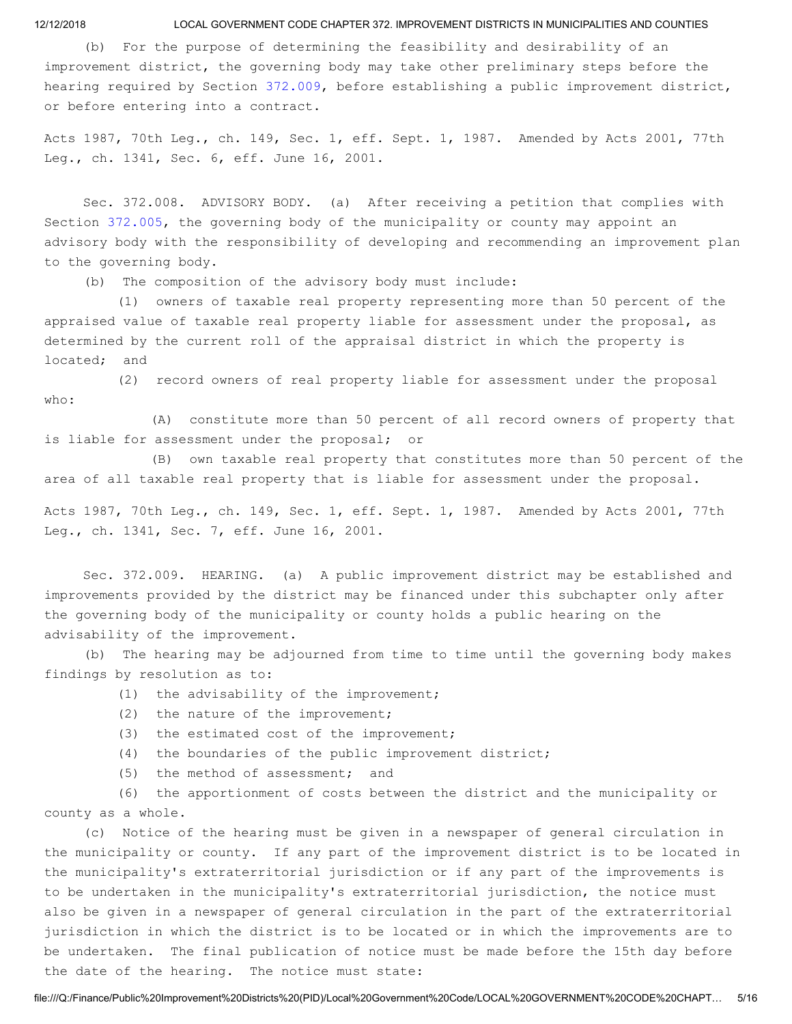(b) For the purpose of determining the feasibility and desirability of an improvement district, the governing body may take other preliminary steps before the hearing required by Section [372.009](http://www.statutes.legis.state.tx.us/GetStatute.aspx?Code=LG&Value=372.009), before establishing a public improvement district, or before entering into a contract.

Acts 1987, 70th Leg., ch. 149, Sec. 1, eff. Sept. 1, 1987. Amended by Acts 2001, 77th Leg., ch. 1341, Sec. 6, eff. June 16, 2001.

Sec. 372.008. ADVISORY BODY. (a) After receiving a petition that complies with Section [372.005,](http://www.statutes.legis.state.tx.us/GetStatute.aspx?Code=LG&Value=372.005) the governing body of the municipality or county may appoint an advisory body with the responsibility of developing and recommending an improvement plan to the governing body.

(b) The composition of the advisory body must include:

(1) owners of taxable real property representing more than 50 percent of the appraised value of taxable real property liable for assessment under the proposal, as determined by the current roll of the appraisal district in which the property is located; and

(2) record owners of real property liable for assessment under the proposal who:

(A) constitute more than 50 percent of all record owners of property that is liable for assessment under the proposal; or

(B) own taxable real property that constitutes more than 50 percent of the area of all taxable real property that is liable for assessment under the proposal.

Acts 1987, 70th Leg., ch. 149, Sec. 1, eff. Sept. 1, 1987. Amended by Acts 2001, 77th Leg., ch. 1341, Sec. 7, eff. June 16, 2001.

Sec. 372.009. HEARING. (a) A public improvement district may be established and improvements provided by the district may be financed under this subchapter only after the governing body of the municipality or county holds a public hearing on the advisability of the improvement.

(b) The hearing may be adjourned from time to time until the governing body makes findings by resolution as to:

- (1) the advisability of the improvement;
- (2) the nature of the improvement;
- (3) the estimated cost of the improvement;
- (4) the boundaries of the public improvement district;
- (5) the method of assessment; and

(6) the apportionment of costs between the district and the municipality or county as a whole.

(c) Notice of the hearing must be given in a newspaper of general circulation in the municipality or county. If any part of the improvement district is to be located in the municipality's extraterritorial jurisdiction or if any part of the improvements is to be undertaken in the municipality's extraterritorial jurisdiction, the notice must also be given in a newspaper of general circulation in the part of the extraterritorial jurisdiction in which the district is to be located or in which the improvements are to be undertaken. The final publication of notice must be made before the 15th day before the date of the hearing. The notice must state: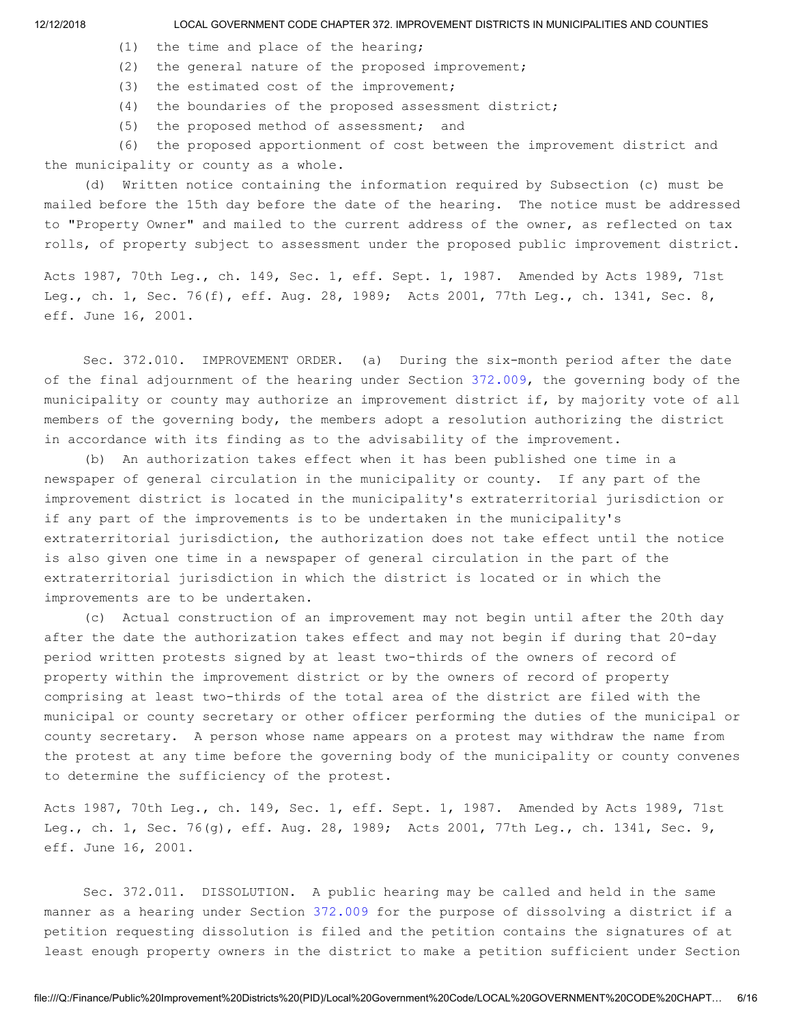- (1) the time and place of the hearing;
- (2) the general nature of the proposed improvement;
- (3) the estimated cost of the improvement;
- (4) the boundaries of the proposed assessment district;
- (5) the proposed method of assessment; and

(6) the proposed apportionment of cost between the improvement district and the municipality or county as a whole.

(d) Written notice containing the information required by Subsection (c) must be mailed before the 15th day before the date of the hearing. The notice must be addressed to "Property Owner" and mailed to the current address of the owner, as reflected on tax rolls, of property subject to assessment under the proposed public improvement district.

Acts 1987, 70th Leg., ch. 149, Sec. 1, eff. Sept. 1, 1987. Amended by Acts 1989, 71st Leg., ch. 1, Sec. 76(f), eff. Aug. 28, 1989; Acts 2001, 77th Leg., ch. 1341, Sec. 8, eff. June 16, 2001.

Sec. 372.010. IMPROVEMENT ORDER. (a) During the six-month period after the date of the final adjournment of the hearing under Section [372.009,](http://www.statutes.legis.state.tx.us/GetStatute.aspx?Code=LG&Value=372.009) the governing body of the municipality or county may authorize an improvement district if, by majority vote of all members of the governing body, the members adopt a resolution authorizing the district in accordance with its finding as to the advisability of the improvement.

(b) An authorization takes effect when it has been published one time in a newspaper of general circulation in the municipality or county. If any part of the improvement district is located in the municipality's extraterritorial jurisdiction or if any part of the improvements is to be undertaken in the municipality's extraterritorial jurisdiction, the authorization does not take effect until the notice is also given one time in a newspaper of general circulation in the part of the extraterritorial jurisdiction in which the district is located or in which the improvements are to be undertaken.

(c) Actual construction of an improvement may not begin until after the 20th day after the date the authorization takes effect and may not begin if during that 20-day period written protests signed by at least two-thirds of the owners of record of property within the improvement district or by the owners of record of property comprising at least two-thirds of the total area of the district are filed with the municipal or county secretary or other officer performing the duties of the municipal or county secretary. A person whose name appears on a protest may withdraw the name from the protest at any time before the governing body of the municipality or county convenes to determine the sufficiency of the protest.

Acts 1987, 70th Leg., ch. 149, Sec. 1, eff. Sept. 1, 1987. Amended by Acts 1989, 71st Leg., ch. 1, Sec. 76(g), eff. Aug. 28, 1989; Acts 2001, 77th Leg., ch. 1341, Sec. 9, eff. June 16, 2001.

Sec. 372.011. DISSOLUTION. A public hearing may be called and held in the same manner as a hearing under Section [372.009](http://www.statutes.legis.state.tx.us/GetStatute.aspx?Code=LG&Value=372.009) for the purpose of dissolving a district if a petition requesting dissolution is filed and the petition contains the signatures of at least enough property owners in the district to make a petition sufficient under Section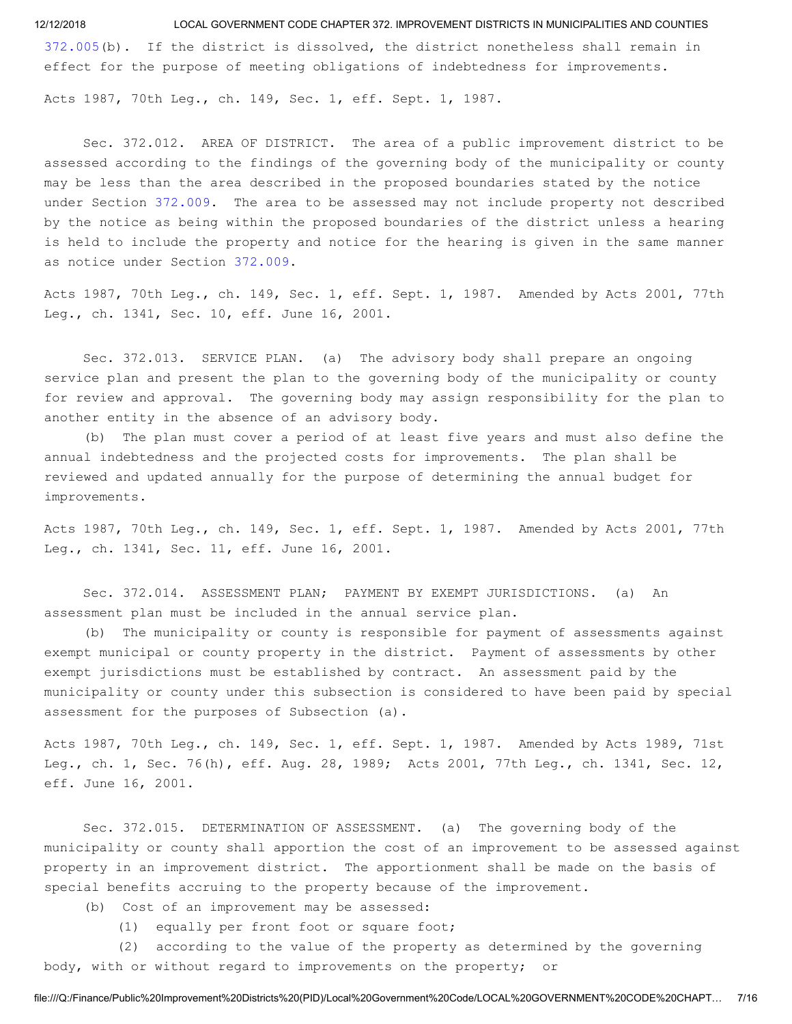[372.005\(](http://www.statutes.legis.state.tx.us/GetStatute.aspx?Code=LG&Value=372.005)b). If the district is dissolved, the district nonetheless shall remain in effect for the purpose of meeting obligations of indebtedness for improvements.

Acts 1987, 70th Leg., ch. 149, Sec. 1, eff. Sept. 1, 1987.

Sec. 372.012. AREA OF DISTRICT. The area of a public improvement district to be assessed according to the findings of the governing body of the municipality or county may be less than the area described in the proposed boundaries stated by the notice under Section [372.009.](http://www.statutes.legis.state.tx.us/GetStatute.aspx?Code=LG&Value=372.009) The area to be assessed may not include property not described by the notice as being within the proposed boundaries of the district unless a hearing is held to include the property and notice for the hearing is given in the same manner as notice under Section [372.009.](http://www.statutes.legis.state.tx.us/GetStatute.aspx?Code=LG&Value=372.009)

Acts 1987, 70th Leg., ch. 149, Sec. 1, eff. Sept. 1, 1987. Amended by Acts 2001, 77th Leg., ch. 1341, Sec. 10, eff. June 16, 2001.

Sec. 372.013. SERVICE PLAN. (a) The advisory body shall prepare an ongoing service plan and present the plan to the governing body of the municipality or county for review and approval. The governing body may assign responsibility for the plan to another entity in the absence of an advisory body.

(b) The plan must cover a period of at least five years and must also define the annual indebtedness and the projected costs for improvements. The plan shall be reviewed and updated annually for the purpose of determining the annual budget for improvements.

Acts 1987, 70th Leg., ch. 149, Sec. 1, eff. Sept. 1, 1987. Amended by Acts 2001, 77th Leg., ch. 1341, Sec. 11, eff. June 16, 2001.

Sec. 372.014. ASSESSMENT PLAN; PAYMENT BY EXEMPT JURISDICTIONS. (a) An assessment plan must be included in the annual service plan.

(b) The municipality or county is responsible for payment of assessments against exempt municipal or county property in the district. Payment of assessments by other exempt jurisdictions must be established by contract. An assessment paid by the municipality or county under this subsection is considered to have been paid by special assessment for the purposes of Subsection (a).

Acts 1987, 70th Leg., ch. 149, Sec. 1, eff. Sept. 1, 1987. Amended by Acts 1989, 71st Leg., ch. 1, Sec. 76(h), eff. Aug. 28, 1989; Acts 2001, 77th Leg., ch. 1341, Sec. 12, eff. June 16, 2001.

Sec. 372.015. DETERMINATION OF ASSESSMENT. (a) The governing body of the municipality or county shall apportion the cost of an improvement to be assessed against property in an improvement district. The apportionment shall be made on the basis of special benefits accruing to the property because of the improvement.

(b) Cost of an improvement may be assessed:

(1) equally per front foot or square foot;

(2) according to the value of the property as determined by the governing body, with or without regard to improvements on the property; or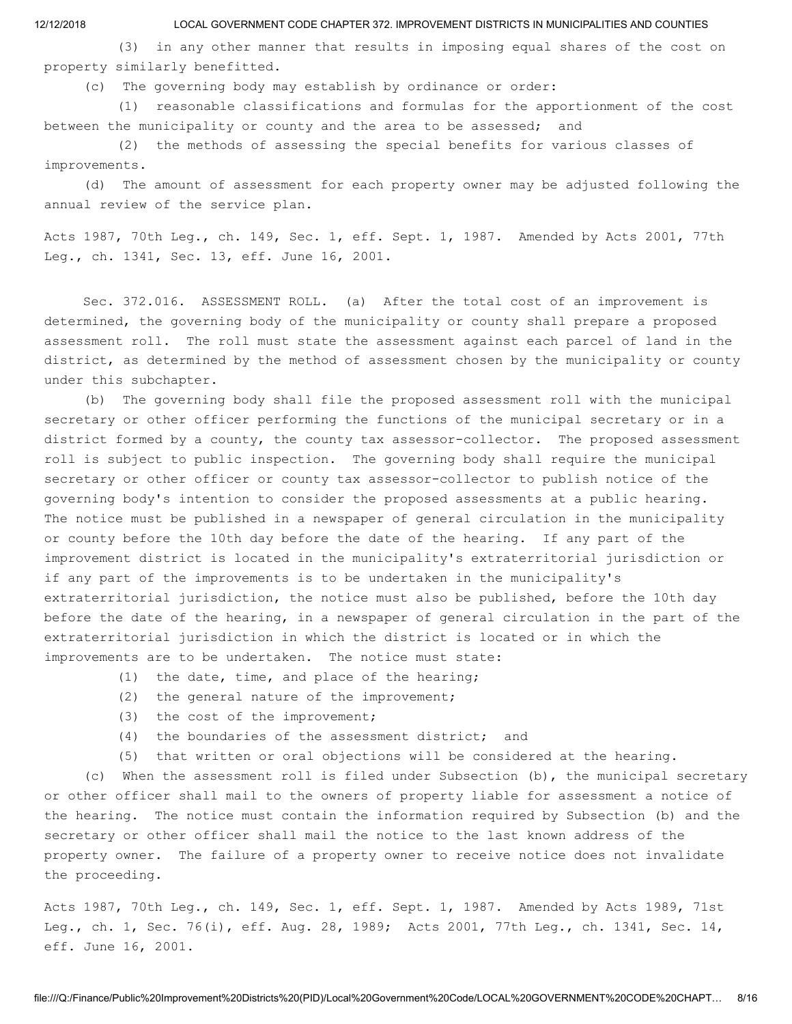(3) in any other manner that results in imposing equal shares of the cost on property similarly benefitted.

(c) The governing body may establish by ordinance or order:

(1) reasonable classifications and formulas for the apportionment of the cost between the municipality or county and the area to be assessed; and

(2) the methods of assessing the special benefits for various classes of improvements.

(d) The amount of assessment for each property owner may be adjusted following the annual review of the service plan.

Acts 1987, 70th Leg., ch. 149, Sec. 1, eff. Sept. 1, 1987. Amended by Acts 2001, 77th Leg., ch. 1341, Sec. 13, eff. June 16, 2001.

Sec. 372.016. ASSESSMENT ROLL. (a) After the total cost of an improvement is determined, the governing body of the municipality or county shall prepare a proposed assessment roll. The roll must state the assessment against each parcel of land in the district, as determined by the method of assessment chosen by the municipality or county under this subchapter.

(b) The governing body shall file the proposed assessment roll with the municipal secretary or other officer performing the functions of the municipal secretary or in a district formed by a county, the county tax assessor-collector. The proposed assessment roll is subject to public inspection. The governing body shall require the municipal secretary or other officer or county tax assessor-collector to publish notice of the governing body's intention to consider the proposed assessments at a public hearing. The notice must be published in a newspaper of general circulation in the municipality or county before the 10th day before the date of the hearing. If any part of the improvement district is located in the municipality's extraterritorial jurisdiction or if any part of the improvements is to be undertaken in the municipality's extraterritorial jurisdiction, the notice must also be published, before the 10th day before the date of the hearing, in a newspaper of general circulation in the part of the extraterritorial jurisdiction in which the district is located or in which the improvements are to be undertaken. The notice must state:

- (1) the date, time, and place of the hearing;
- (2) the general nature of the improvement;
- (3) the cost of the improvement;
- (4) the boundaries of the assessment district; and
- (5) that written or oral objections will be considered at the hearing.

(c) When the assessment roll is filed under Subsection (b), the municipal secretary or other officer shall mail to the owners of property liable for assessment a notice of the hearing. The notice must contain the information required by Subsection (b) and the secretary or other officer shall mail the notice to the last known address of the property owner. The failure of a property owner to receive notice does not invalidate the proceeding.

Acts 1987, 70th Leg., ch. 149, Sec. 1, eff. Sept. 1, 1987. Amended by Acts 1989, 71st Leg., ch. 1, Sec. 76(i), eff. Aug. 28, 1989; Acts 2001, 77th Leg., ch. 1341, Sec. 14, eff. June 16, 2001.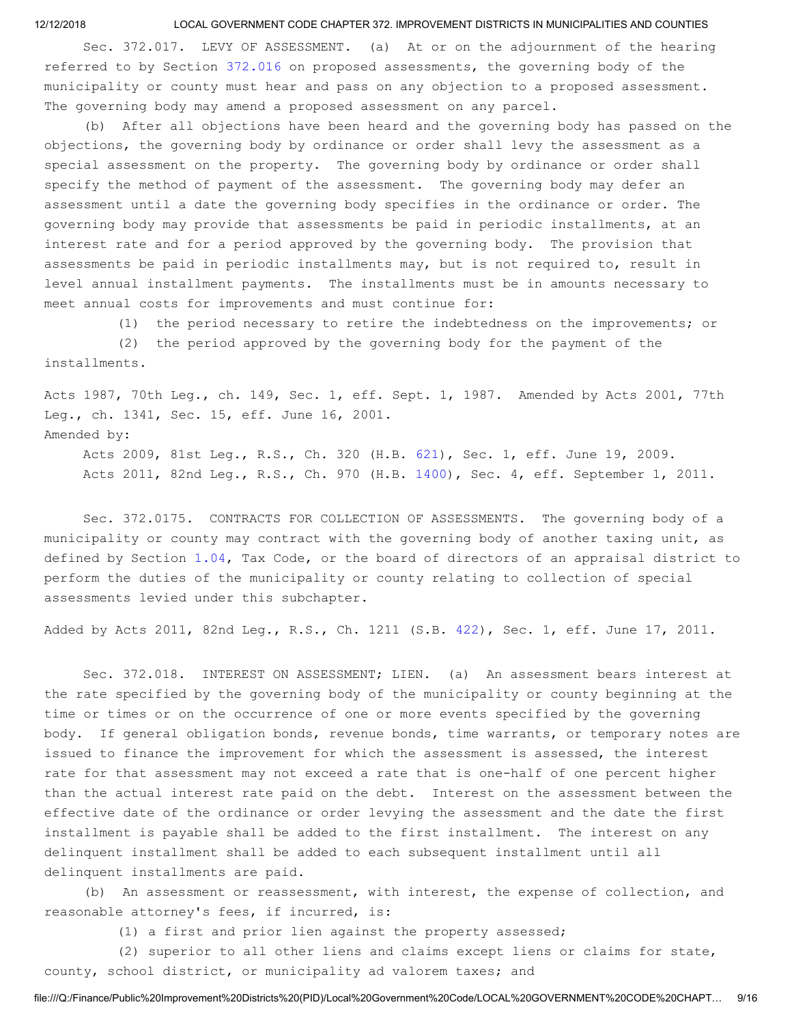Sec. 372.017. LEVY OF ASSESSMENT. (a) At or on the adjournment of the hearing referred to by Section [372.016](http://www.statutes.legis.state.tx.us/GetStatute.aspx?Code=LG&Value=372.016) on proposed assessments, the governing body of the municipality or county must hear and pass on any objection to a proposed assessment. The governing body may amend a proposed assessment on any parcel.

(b) After all objections have been heard and the governing body has passed on the objections, the governing body by ordinance or order shall levy the assessment as a special assessment on the property. The governing body by ordinance or order shall specify the method of payment of the assessment. The governing body may defer an assessment until a date the governing body specifies in the ordinance or order. The governing body may provide that assessments be paid in periodic installments, at an interest rate and for a period approved by the governing body. The provision that assessments be paid in periodic installments may, but is not required to, result in level annual installment payments. The installments must be in amounts necessary to meet annual costs for improvements and must continue for:

(1) the period necessary to retire the indebtedness on the improvements; or

(2) the period approved by the governing body for the payment of the installments.

Acts 1987, 70th Leg., ch. 149, Sec. 1, eff. Sept. 1, 1987. Amended by Acts 2001, 77th Leg., ch. 1341, Sec. 15, eff. June 16, 2001. Amended by:

Acts 2009, 81st Leg., R.S., Ch. 320 (H.B. [621\)](http://www.legis.state.tx.us/tlodocs/81R/billtext/html/HB00621F.HTM), Sec. 1, eff. June 19, 2009. Acts 2011, 82nd Leg., R.S., Ch. 970 (H.B. [1400](http://www.legis.state.tx.us/tlodocs/82R/billtext/html/HB01400F.HTM)), Sec. 4, eff. September 1, 2011.

Sec. 372.0175. CONTRACTS FOR COLLECTION OF ASSESSMENTS. The governing body of a municipality or county may contract with the governing body of another taxing unit, as defined by Section [1.04,](http://www.statutes.legis.state.tx.us/GetStatute.aspx?Code=TX&Value=1.04) Tax Code, or the board of directors of an appraisal district to perform the duties of the municipality or county relating to collection of special assessments levied under this subchapter.

Added by Acts 2011, 82nd Leg., R.S., Ch. 1211 (S.B. [422](http://www.legis.state.tx.us/tlodocs/82R/billtext/html/SB00422F.HTM)), Sec. 1, eff. June 17, 2011.

Sec. 372.018. INTEREST ON ASSESSMENT; LIEN. (a) An assessment bears interest at the rate specified by the governing body of the municipality or county beginning at the time or times or on the occurrence of one or more events specified by the governing body. If general obligation bonds, revenue bonds, time warrants, or temporary notes are issued to finance the improvement for which the assessment is assessed, the interest rate for that assessment may not exceed a rate that is one-half of one percent higher than the actual interest rate paid on the debt. Interest on the assessment between the effective date of the ordinance or order levying the assessment and the date the first installment is payable shall be added to the first installment. The interest on any delinquent installment shall be added to each subsequent installment until all delinquent installments are paid.

(b) An assessment or reassessment, with interest, the expense of collection, and reasonable attorney's fees, if incurred, is:

(1) a first and prior lien against the property assessed;

(2) superior to all other liens and claims except liens or claims for state, county, school district, or municipality ad valorem taxes; and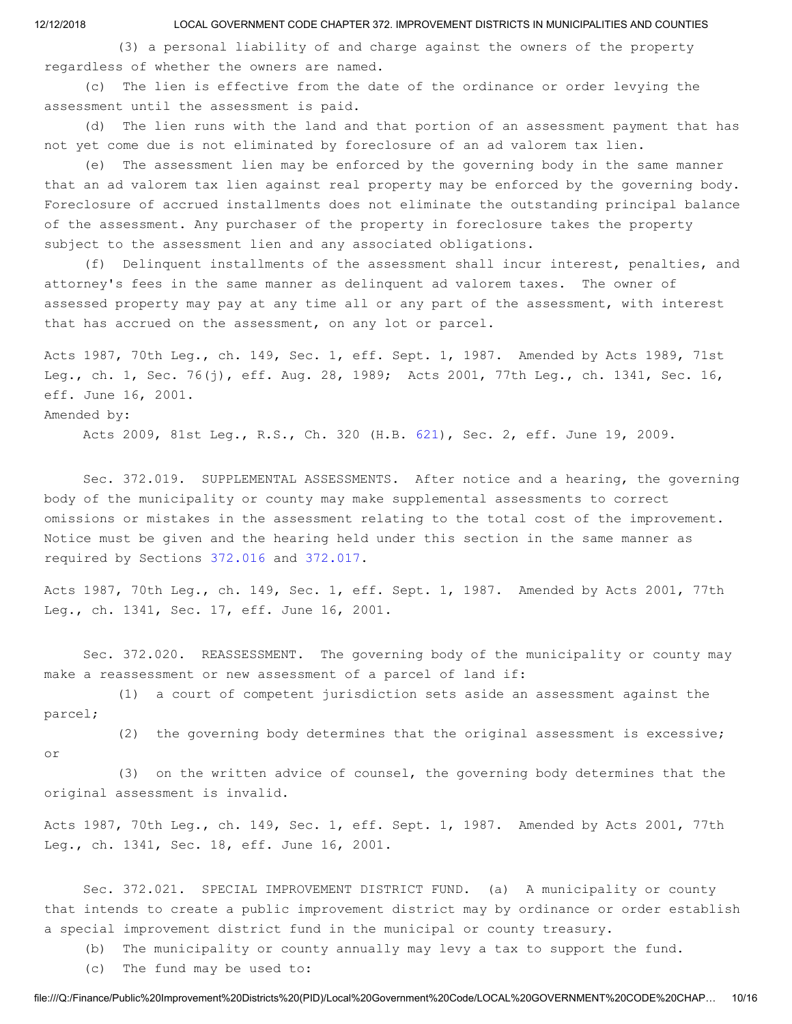(3) a personal liability of and charge against the owners of the property regardless of whether the owners are named.

(c) The lien is effective from the date of the ordinance or order levying the assessment until the assessment is paid.

The lien runs with the land and that portion of an assessment payment that has not yet come due is not eliminated by foreclosure of an ad valorem tax lien.

(e) The assessment lien may be enforced by the governing body in the same manner that an ad valorem tax lien against real property may be enforced by the governing body. Foreclosure of accrued installments does not eliminate the outstanding principal balance of the assessment. Any purchaser of the property in foreclosure takes the property subject to the assessment lien and any associated obligations.

(f) Delinquent installments of the assessment shall incur interest, penalties, and attorney's fees in the same manner as delinquent ad valorem taxes. The owner of assessed property may pay at any time all or any part of the assessment, with interest that has accrued on the assessment, on any lot or parcel.

Acts 1987, 70th Leg., ch. 149, Sec. 1, eff. Sept. 1, 1987. Amended by Acts 1989, 71st Leg., ch. 1, Sec. 76(j), eff. Aug. 28, 1989; Acts 2001, 77th Leg., ch. 1341, Sec. 16, eff. June 16, 2001.

#### Amended by:

Acts 2009, 81st Leg., R.S., Ch. 320 (H.B. [621\)](http://www.legis.state.tx.us/tlodocs/81R/billtext/html/HB00621F.HTM), Sec. 2, eff. June 19, 2009.

Sec. 372.019. SUPPLEMENTAL ASSESSMENTS. After notice and a hearing, the governing body of the municipality or county may make supplemental assessments to correct omissions or mistakes in the assessment relating to the total cost of the improvement. Notice must be given and the hearing held under this section in the same manner as required by Sections [372.016](http://www.statutes.legis.state.tx.us/GetStatute.aspx?Code=LG&Value=372.016) and [372.017](http://www.statutes.legis.state.tx.us/GetStatute.aspx?Code=LG&Value=372.017).

Acts 1987, 70th Leg., ch. 149, Sec. 1, eff. Sept. 1, 1987. Amended by Acts 2001, 77th Leg., ch. 1341, Sec. 17, eff. June 16, 2001.

Sec. 372.020. REASSESSMENT. The governing body of the municipality or county may make a reassessment or new assessment of a parcel of land if:

(1) a court of competent jurisdiction sets aside an assessment against the parcel;

(2) the governing body determines that the original assessment is excessive; or

(3) on the written advice of counsel, the governing body determines that the original assessment is invalid.

Acts 1987, 70th Leg., ch. 149, Sec. 1, eff. Sept. 1, 1987. Amended by Acts 2001, 77th Leg., ch. 1341, Sec. 18, eff. June 16, 2001.

Sec. 372.021. SPECIAL IMPROVEMENT DISTRICT FUND. (a) A municipality or county that intends to create a public improvement district may by ordinance or order establish a special improvement district fund in the municipal or county treasury.

(b) The municipality or county annually may levy a tax to support the fund.

(c) The fund may be used to: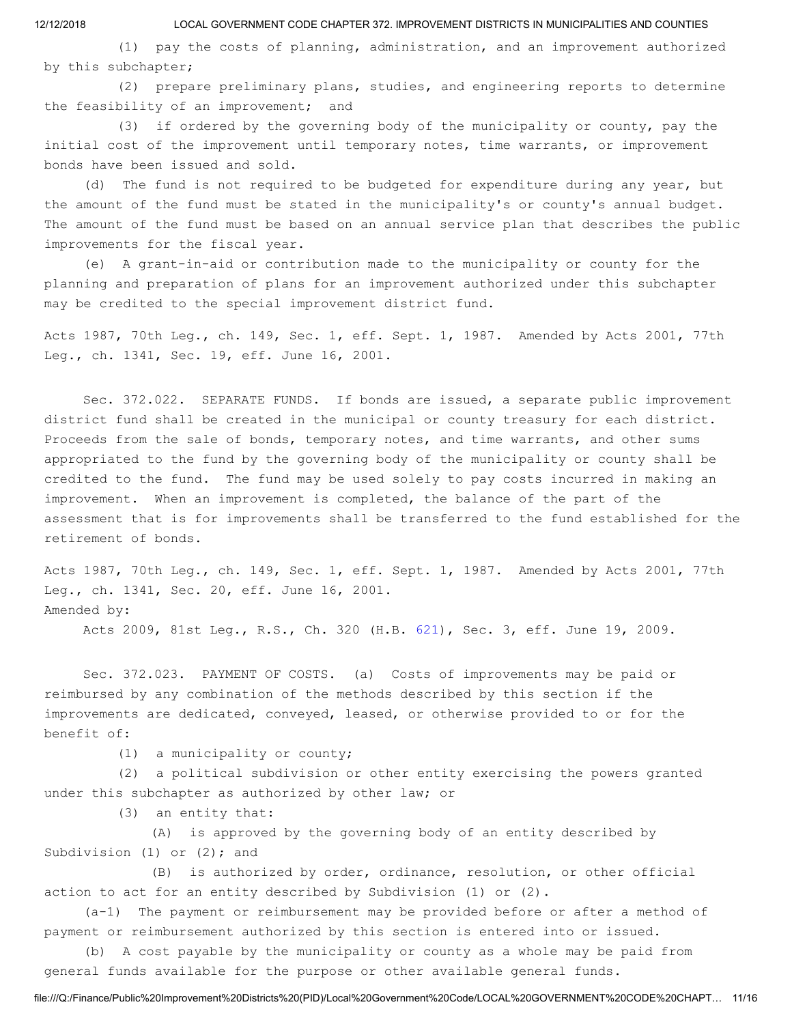(1) pay the costs of planning, administration, and an improvement authorized by this subchapter;

(2) prepare preliminary plans, studies, and engineering reports to determine the feasibility of an improvement; and

(3) if ordered by the governing body of the municipality or county, pay the initial cost of the improvement until temporary notes, time warrants, or improvement bonds have been issued and sold.

(d) The fund is not required to be budgeted for expenditure during any year, but the amount of the fund must be stated in the municipality's or county's annual budget. The amount of the fund must be based on an annual service plan that describes the public improvements for the fiscal year.

(e) A grant-in-aid or contribution made to the municipality or county for the planning and preparation of plans for an improvement authorized under this subchapter may be credited to the special improvement district fund.

Acts 1987, 70th Leg., ch. 149, Sec. 1, eff. Sept. 1, 1987. Amended by Acts 2001, 77th Leg., ch. 1341, Sec. 19, eff. June 16, 2001.

Sec. 372.022. SEPARATE FUNDS. If bonds are issued, a separate public improvement district fund shall be created in the municipal or county treasury for each district. Proceeds from the sale of bonds, temporary notes, and time warrants, and other sums appropriated to the fund by the governing body of the municipality or county shall be credited to the fund. The fund may be used solely to pay costs incurred in making an improvement. When an improvement is completed, the balance of the part of the assessment that is for improvements shall be transferred to the fund established for the retirement of bonds.

Acts 1987, 70th Leg., ch. 149, Sec. 1, eff. Sept. 1, 1987. Amended by Acts 2001, 77th Leg., ch. 1341, Sec. 20, eff. June 16, 2001. Amended by:

Acts 2009, 81st Leg., R.S., Ch. 320 (H.B. [621\)](http://www.legis.state.tx.us/tlodocs/81R/billtext/html/HB00621F.HTM), Sec. 3, eff. June 19, 2009.

Sec. 372.023. PAYMENT OF COSTS. (a) Costs of improvements may be paid or reimbursed by any combination of the methods described by this section if the improvements are dedicated, conveyed, leased, or otherwise provided to or for the benefit of:

(1) a municipality or county;

(2) a political subdivision or other entity exercising the powers granted under this subchapter as authorized by other law; or

(3) an entity that:

(A) is approved by the governing body of an entity described by Subdivision (1) or (2); and

(B) is authorized by order, ordinance, resolution, or other official action to act for an entity described by Subdivision (1) or (2).

(a-1) The payment or reimbursement may be provided before or after a method of payment or reimbursement authorized by this section is entered into or issued.

(b) A cost payable by the municipality or county as a whole may be paid from general funds available for the purpose or other available general funds.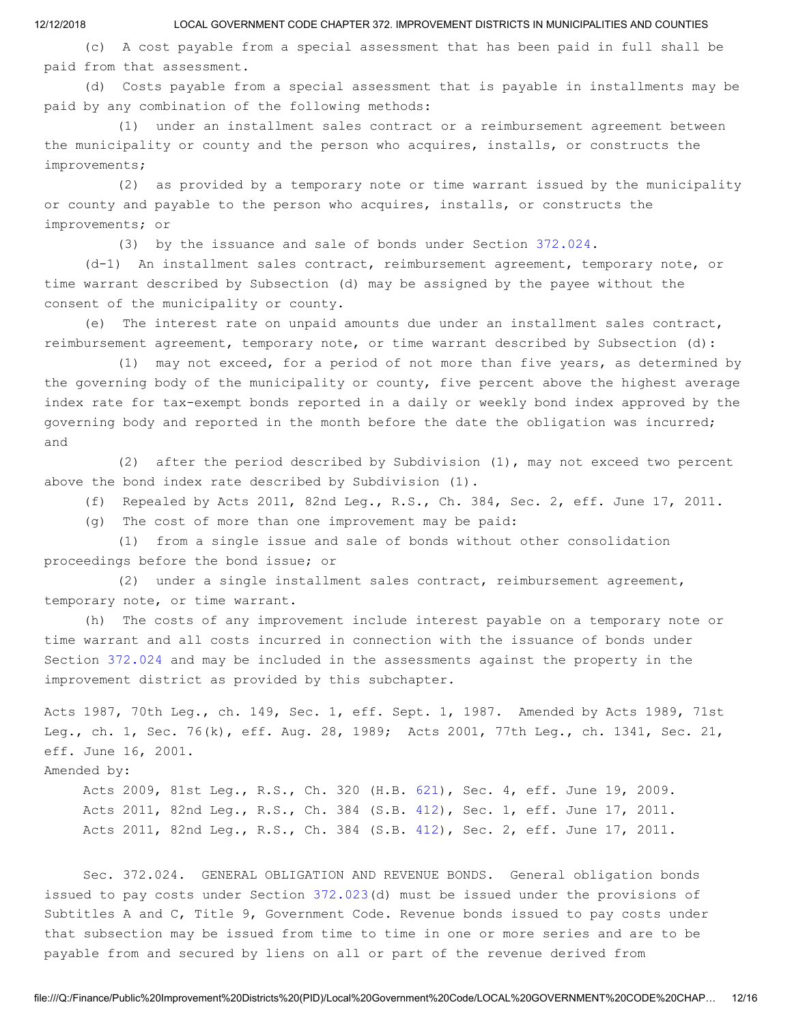(c) A cost payable from a special assessment that has been paid in full shall be paid from that assessment.

(d) Costs payable from a special assessment that is payable in installments may be paid by any combination of the following methods:

(1) under an installment sales contract or a reimbursement agreement between the municipality or county and the person who acquires, installs, or constructs the improvements;

(2) as provided by a temporary note or time warrant issued by the municipality or county and payable to the person who acquires, installs, or constructs the improvements; or

(3) by the issuance and sale of bonds under Section [372.024.](http://www.statutes.legis.state.tx.us/GetStatute.aspx?Code=LG&Value=372.024)

(d-1) An installment sales contract, reimbursement agreement, temporary note, or time warrant described by Subsection (d) may be assigned by the payee without the consent of the municipality or county.

(e) The interest rate on unpaid amounts due under an installment sales contract, reimbursement agreement, temporary note, or time warrant described by Subsection (d):

(1) may not exceed, for a period of not more than five years, as determined by the governing body of the municipality or county, five percent above the highest average index rate for tax-exempt bonds reported in a daily or weekly bond index approved by the governing body and reported in the month before the date the obligation was incurred; and

(2) after the period described by Subdivision (1), may not exceed two percent above the bond index rate described by Subdivision (1).

(f) Repealed by Acts 2011, 82nd Leg., R.S., Ch. 384, Sec. 2, eff. June 17, 2011.

(g) The cost of more than one improvement may be paid:

(1) from a single issue and sale of bonds without other consolidation proceedings before the bond issue; or

(2) under a single installment sales contract, reimbursement agreement, temporary note, or time warrant.

(h) The costs of any improvement include interest payable on a temporary note or time warrant and all costs incurred in connection with the issuance of bonds under Section [372.024](http://www.statutes.legis.state.tx.us/GetStatute.aspx?Code=LG&Value=372.024) and may be included in the assessments against the property in the improvement district as provided by this subchapter.

Acts 1987, 70th Leg., ch. 149, Sec. 1, eff. Sept. 1, 1987. Amended by Acts 1989, 71st Leg., ch. 1, Sec. 76(k), eff. Aug. 28, 1989; Acts 2001, 77th Leg., ch. 1341, Sec. 21, eff. June 16, 2001.

Amended by:

Acts 2009, 81st Leg., R.S., Ch. 320 (H.B. [621\)](http://www.legis.state.tx.us/tlodocs/81R/billtext/html/HB00621F.HTM), Sec. 4, eff. June 19, 2009. Acts 2011, 82nd Leg., R.S., Ch. 384 (S.B. [412\)](http://www.legis.state.tx.us/tlodocs/82R/billtext/html/SB00412F.HTM), Sec. 1, eff. June 17, 2011. Acts 2011, 82nd Leg., R.S., Ch. 384 (S.B. [412\)](http://www.legis.state.tx.us/tlodocs/82R/billtext/html/SB00412F.HTM), Sec. 2, eff. June 17, 2011.

Sec. 372.024. GENERAL OBLIGATION AND REVENUE BONDS. General obligation bonds issued to pay costs under Section [372.023](http://www.statutes.legis.state.tx.us/GetStatute.aspx?Code=LG&Value=372.023)(d) must be issued under the provisions of Subtitles A and C, Title 9, Government Code. Revenue bonds issued to pay costs under that subsection may be issued from time to time in one or more series and are to be payable from and secured by liens on all or part of the revenue derived from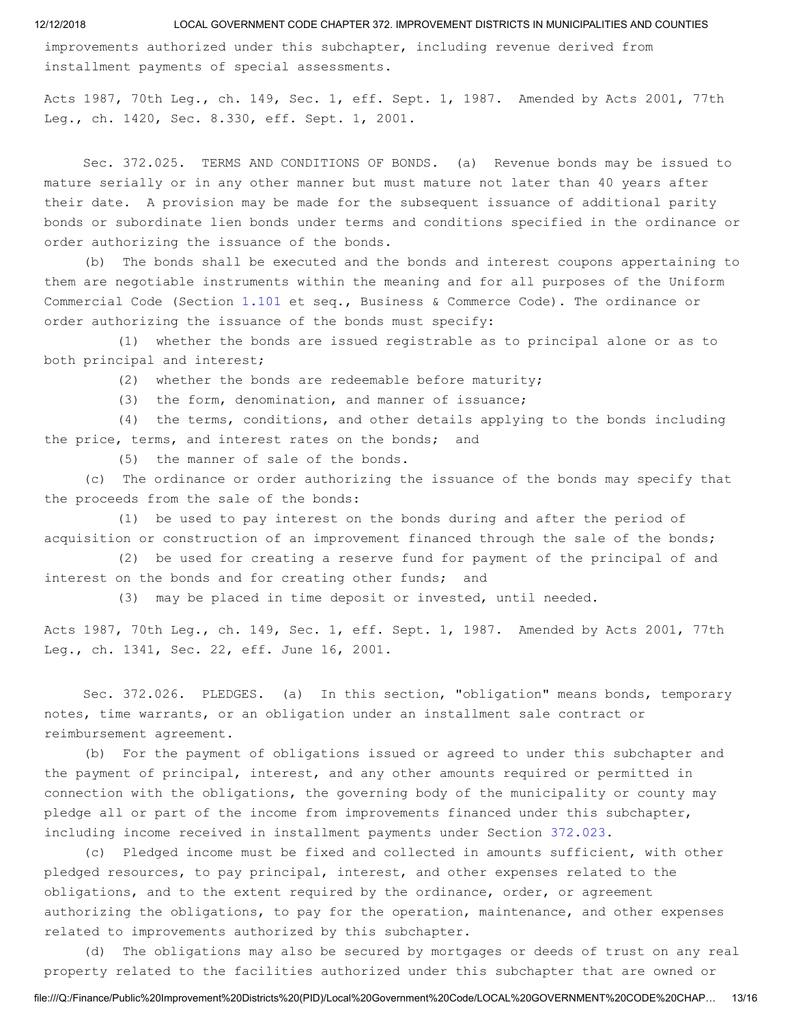improvements authorized under this subchapter, including revenue derived from installment payments of special assessments.

Acts 1987, 70th Leg., ch. 149, Sec. 1, eff. Sept. 1, 1987. Amended by Acts 2001, 77th Leg., ch. 1420, Sec. 8.330, eff. Sept. 1, 2001.

Sec. 372.025. TERMS AND CONDITIONS OF BONDS. (a) Revenue bonds may be issued to mature serially or in any other manner but must mature not later than 40 years after their date. A provision may be made for the subsequent issuance of additional parity bonds or subordinate lien bonds under terms and conditions specified in the ordinance or order authorizing the issuance of the bonds.

(b) The bonds shall be executed and the bonds and interest coupons appertaining to them are negotiable instruments within the meaning and for all purposes of the Uniform Commercial Code (Section [1.101](http://www.statutes.legis.state.tx.us/GetStatute.aspx?Code=BC&Value=1.101) et seq., Business & Commerce Code). The ordinance or order authorizing the issuance of the bonds must specify:

(1) whether the bonds are issued registrable as to principal alone or as to both principal and interest;

- (2) whether the bonds are redeemable before maturity;
- (3) the form, denomination, and manner of issuance;

(4) the terms, conditions, and other details applying to the bonds including the price, terms, and interest rates on the bonds; and

(5) the manner of sale of the bonds.

(c) The ordinance or order authorizing the issuance of the bonds may specify that the proceeds from the sale of the bonds:

(1) be used to pay interest on the bonds during and after the period of acquisition or construction of an improvement financed through the sale of the bonds;

(2) be used for creating a reserve fund for payment of the principal of and interest on the bonds and for creating other funds; and

(3) may be placed in time deposit or invested, until needed.

Acts 1987, 70th Leg., ch. 149, Sec. 1, eff. Sept. 1, 1987. Amended by Acts 2001, 77th Leg., ch. 1341, Sec. 22, eff. June 16, 2001.

Sec. 372.026. PLEDGES. (a) In this section, "obligation" means bonds, temporary notes, time warrants, or an obligation under an installment sale contract or reimbursement agreement.

(b) For the payment of obligations issued or agreed to under this subchapter and the payment of principal, interest, and any other amounts required or permitted in connection with the obligations, the governing body of the municipality or county may pledge all or part of the income from improvements financed under this subchapter, including income received in installment payments under Section [372.023](http://www.statutes.legis.state.tx.us/GetStatute.aspx?Code=LG&Value=372.023).

(c) Pledged income must be fixed and collected in amounts sufficient, with other pledged resources, to pay principal, interest, and other expenses related to the obligations, and to the extent required by the ordinance, order, or agreement authorizing the obligations, to pay for the operation, maintenance, and other expenses related to improvements authorized by this subchapter.

(d) The obligations may also be secured by mortgages or deeds of trust on any real property related to the facilities authorized under this subchapter that are owned or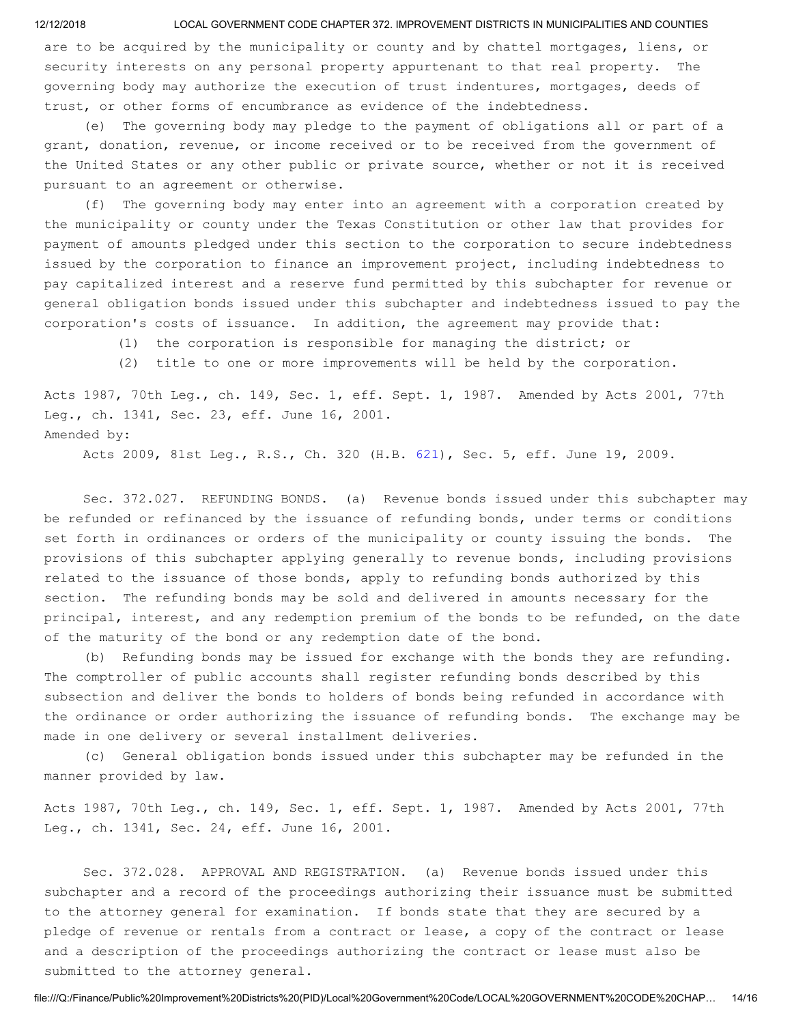are to be acquired by the municipality or county and by chattel mortgages, liens, or security interests on any personal property appurtenant to that real property. The governing body may authorize the execution of trust indentures, mortgages, deeds of trust, or other forms of encumbrance as evidence of the indebtedness.

(e) The governing body may pledge to the payment of obligations all or part of a grant, donation, revenue, or income received or to be received from the government of the United States or any other public or private source, whether or not it is received pursuant to an agreement or otherwise.

(f) The governing body may enter into an agreement with a corporation created by the municipality or county under the Texas Constitution or other law that provides for payment of amounts pledged under this section to the corporation to secure indebtedness issued by the corporation to finance an improvement project, including indebtedness to pay capitalized interest and a reserve fund permitted by this subchapter for revenue or general obligation bonds issued under this subchapter and indebtedness issued to pay the corporation's costs of issuance. In addition, the agreement may provide that:

- (1) the corporation is responsible for managing the district; or
- (2) title to one or more improvements will be held by the corporation.

Acts 1987, 70th Leg., ch. 149, Sec. 1, eff. Sept. 1, 1987. Amended by Acts 2001, 77th Leg., ch. 1341, Sec. 23, eff. June 16, 2001. Amended by:

Acts 2009, 81st Leg., R.S., Ch. 320 (H.B. [621\)](http://www.legis.state.tx.us/tlodocs/81R/billtext/html/HB00621F.HTM), Sec. 5, eff. June 19, 2009.

Sec. 372.027. REFUNDING BONDS. (a) Revenue bonds issued under this subchapter may be refunded or refinanced by the issuance of refunding bonds, under terms or conditions set forth in ordinances or orders of the municipality or county issuing the bonds. The provisions of this subchapter applying generally to revenue bonds, including provisions related to the issuance of those bonds, apply to refunding bonds authorized by this section. The refunding bonds may be sold and delivered in amounts necessary for the principal, interest, and any redemption premium of the bonds to be refunded, on the date of the maturity of the bond or any redemption date of the bond.

(b) Refunding bonds may be issued for exchange with the bonds they are refunding. The comptroller of public accounts shall register refunding bonds described by this subsection and deliver the bonds to holders of bonds being refunded in accordance with the ordinance or order authorizing the issuance of refunding bonds. The exchange may be made in one delivery or several installment deliveries.

(c) General obligation bonds issued under this subchapter may be refunded in the manner provided by law.

Acts 1987, 70th Leg., ch. 149, Sec. 1, eff. Sept. 1, 1987. Amended by Acts 2001, 77th Leg., ch. 1341, Sec. 24, eff. June 16, 2001.

Sec. 372.028. APPROVAL AND REGISTRATION. (a) Revenue bonds issued under this subchapter and a record of the proceedings authorizing their issuance must be submitted to the attorney general for examination. If bonds state that they are secured by a pledge of revenue or rentals from a contract or lease, a copy of the contract or lease and a description of the proceedings authorizing the contract or lease must also be submitted to the attorney general.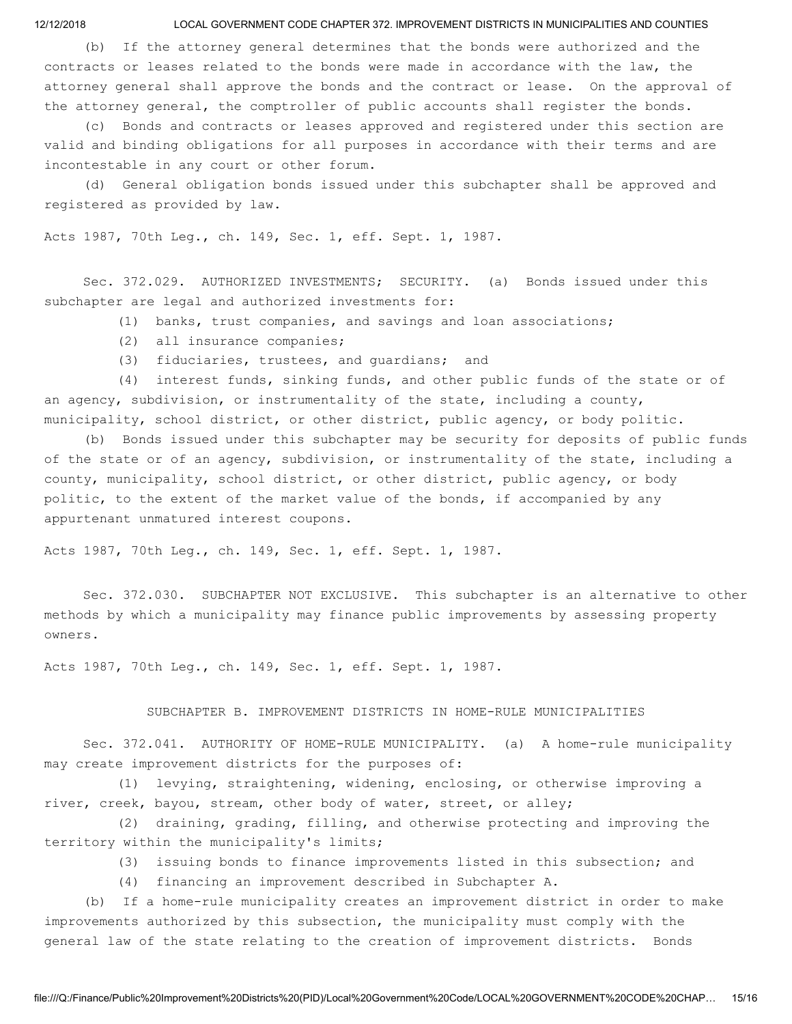(b) If the attorney general determines that the bonds were authorized and the contracts or leases related to the bonds were made in accordance with the law, the attorney general shall approve the bonds and the contract or lease. On the approval of the attorney general, the comptroller of public accounts shall register the bonds.

(c) Bonds and contracts or leases approved and registered under this section are valid and binding obligations for all purposes in accordance with their terms and are incontestable in any court or other forum.

(d) General obligation bonds issued under this subchapter shall be approved and registered as provided by law.

Acts 1987, 70th Leg., ch. 149, Sec. 1, eff. Sept. 1, 1987.

Sec. 372.029. AUTHORIZED INVESTMENTS; SECURITY. (a) Bonds issued under this subchapter are legal and authorized investments for:

- (1) banks, trust companies, and savings and loan associations;
- (2) all insurance companies;
- (3) fiduciaries, trustees, and guardians; and

(4) interest funds, sinking funds, and other public funds of the state or of an agency, subdivision, or instrumentality of the state, including a county, municipality, school district, or other district, public agency, or body politic.

(b) Bonds issued under this subchapter may be security for deposits of public funds of the state or of an agency, subdivision, or instrumentality of the state, including a county, municipality, school district, or other district, public agency, or body politic, to the extent of the market value of the bonds, if accompanied by any appurtenant unmatured interest coupons.

Acts 1987, 70th Leg., ch. 149, Sec. 1, eff. Sept. 1, 1987.

Sec. 372.030. SUBCHAPTER NOT EXCLUSIVE. This subchapter is an alternative to other methods by which a municipality may finance public improvements by assessing property owners.

Acts 1987, 70th Leg., ch. 149, Sec. 1, eff. Sept. 1, 1987.

# SUBCHAPTER B. IMPROVEMENT DISTRICTS IN HOME-RULE MUNICIPALITIES

Sec. 372.041. AUTHORITY OF HOME-RULE MUNICIPALITY. (a) A home-rule municipality may create improvement districts for the purposes of:

(1) levying, straightening, widening, enclosing, or otherwise improving a river, creek, bayou, stream, other body of water, street, or alley;

(2) draining, grading, filling, and otherwise protecting and improving the territory within the municipality's limits;

(3) issuing bonds to finance improvements listed in this subsection; and

(4) financing an improvement described in Subchapter A.

(b) If a home-rule municipality creates an improvement district in order to make improvements authorized by this subsection, the municipality must comply with the general law of the state relating to the creation of improvement districts. Bonds